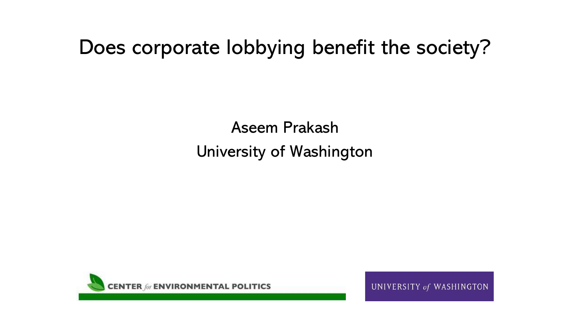# Does corporate lobbying benefit the society?

Aseem Prakash University of Washington



UNIVERSITY of WASHINGTON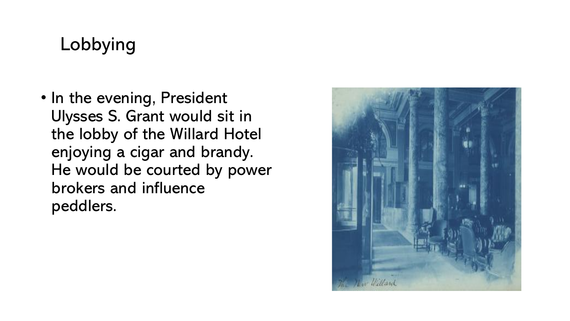## Lobbying

• In the evening, President Ulysses S. Grant would sit in the lobby of the Willard Hotel enjoying a cigar and brandy. He would be courted by power brokers and influence peddlers.

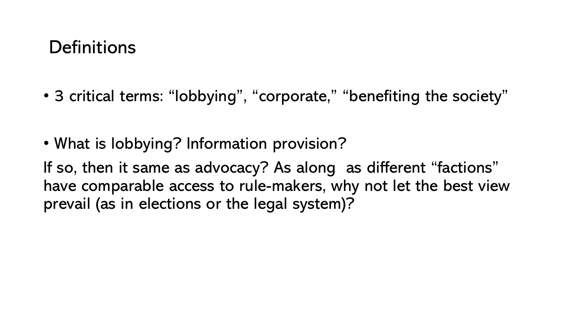#### **Definitions**

- 3 critical terms: "lobbying", "corporate," "benefiting the society"
- What is lobbying? Information provision?

If so, then it same as advocacy? As along as different "factions" have comparable access to rule-makers, why not let the best view prevail (as in elections or the legal system)?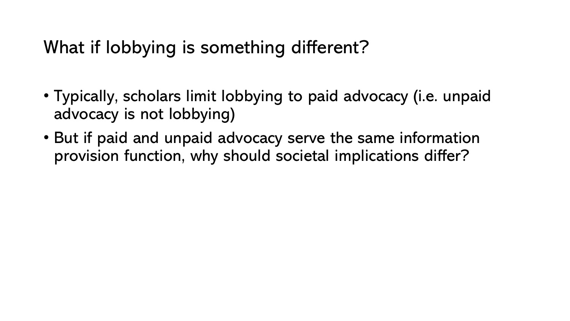## What if lobbying is something different?

- Typically, scholars limit lobbying to paid advocacy (i.e. unpaid advocacy is not lobbying)
- But if paid and unpaid advocacy serve the same information provision function, why should societal implications differ?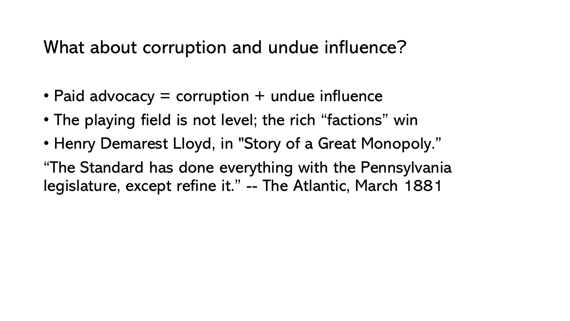What about corruption and undue influence?

- Paid advocacy  $=$  corruption  $+$  undue influence
- The playing field is not level; the rich "factions" win
- Henry Demarest Lloyd, in "Story of a Great Monopoly."
- "The Standard has done everything with the Pennsylvania legislature, except refine it." -- The Atlantic, March 1881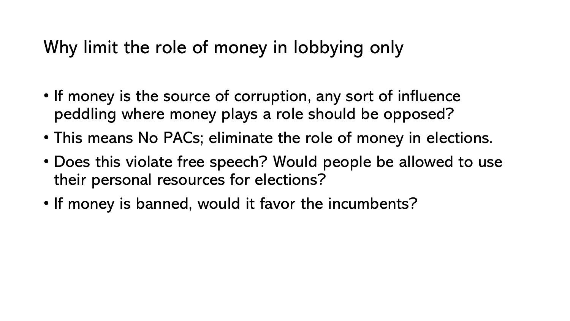## Why limit the role of money in lobbying only

- If money is the source of corruption, any sort of influence peddling where money plays a role should be opposed?
- This means No PACs; eliminate the role of money in elections.
- Does this violate free speech? Would people be allowed to use their personal resources for elections?
- If money is banned, would it favor the incumbents?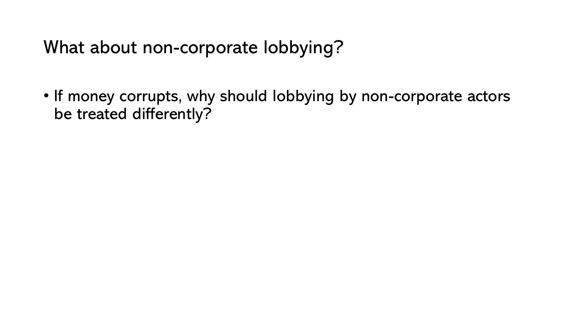What about non-corporate lobbying?

• If money corrupts, why should lobbying by non-corporate actors be treated differently?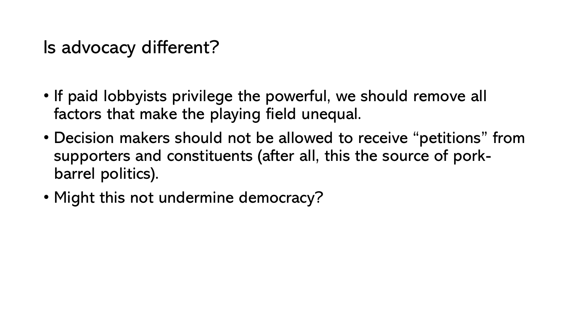### Is advocacy different?

- If paid lobbyists privilege the powerful, we should remove all factors that make the playing field unequal.
- Decision makers should not be allowed to receive "petitions" from supporters and constituents (after all, this the source of porkbarrel politics).
- Might this not undermine democracy?